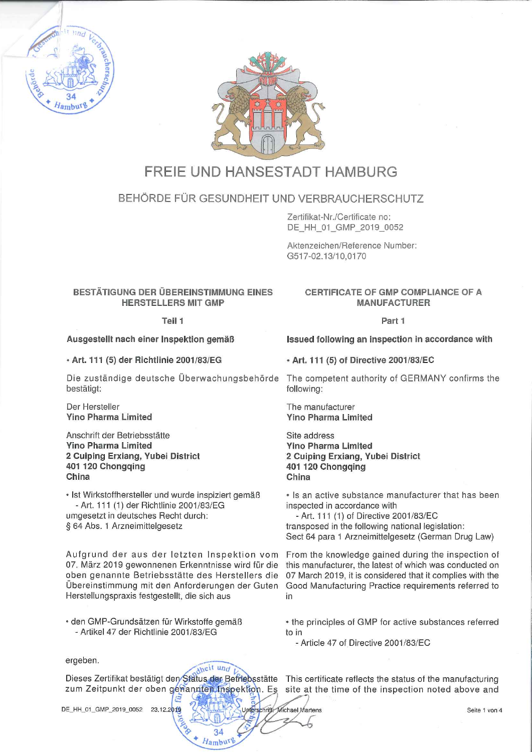



# FREIE UND HANSESTADT HAMBURG

# BEHÖRDE FÜR GESUNDHEIT UND VERBRAUCHERSCHUTZ

Zertifikat-Nr./Certificate no:DE\_HH\_01\_GMP\_2019\_0052

Aktenzeichen/Reference Number:0517-02.13/10,0170

# BESTÄTIGUNG DER ÜBEREINSTIMMUNG EINESHERSTELLERS MIT GMP

#### Teil 1

## Ausgestellt nach einer Inspektion gemäß

• Art. 111 (5) der Richtlinie 2001/83/EG

Die zuständige deutsche Uberwachungsbehörde The competent authority of GERMANY confirms thebestätigt: **following: bestätigt: following: following: following: following: following: following: following: following: following: following: following: following: following: following: fo** 

Der HerstellerYino Pharma Limited

#### Anschrift der BetriebsstätteYino Pharma Limited 2 Cuiping Erxiang, Yubei District401 120 ChongqingChina

• Ist Wirkstoffhersteller und wurde inspiziert gemäß-Art. 111 (1) der Richtlinie 2001/83/EGumgesetzt in deutsches Recht durch:§ 64 Abs. 1 Arzneimittelgesetz

07. März 2019 gewonnenen Erkenntnisse wird für die oben genannte Betriebsstätte des Herstellers die Übereinstimmung mit den Anforderungen der Guten Herstellungspraxis festgestellt, die sich aus in

den GMP-Grundsätzen für Wirkstoffe gemäß- Artikel 47 der Richtlinie 2001/83/EG

# CERTIFICATE OF GMP COMPLIANCE OF AMANUFACTURER

#### Part 1

Issued following an inspection in accordance with

• Art. 111 (5) of Directive 2001/83/EC

The manufacturerYino Pharma Limited

Site address Yino Pharma Limited2 Cuiping Erxiang, Yubei District 401 120 Chongqing China

• Is an active substance manufacturer that has beeninspected in accordance with

 - Art. 111 (1) of Directive 2001/83/EC transposed in the following national legislation:Sect 64 para 1 Arzneimittelgesetz (German Drug Law

Aufgrund der aus der letzten Inspektion vom From the knowledge gained during the inspection ofthis manufacturer, the latest of which was conducted on 07 March 2019, it is considered that it complies with the Good Manufacturing Practice requirements referred to

> • the principles of GMP for active substances referredto in

- Article 47 of Directive 2001/83/EC

Fichael Wartens

ergeben.

 $\sim$ <sup>n</sup>dheit und  $V_{\circ}$ Dieses Zertifikat bestätigt den Stätus der Betriebsstätte This certificate reflects the status of the manufacturin ^^^:^r; 1-

**27 AUSTRALIAN APPEAL APPEAL**  $\alpha$ ...

 $34$  $H$ <sub>ambu</sub>r $\triangleright$ 

DE\_HH\_01\_GMP\_2019\_0052 23.12.2019

zum Zeitpunkt der oben genannten thspektion. Es 'site at the time of the inspection noted above and /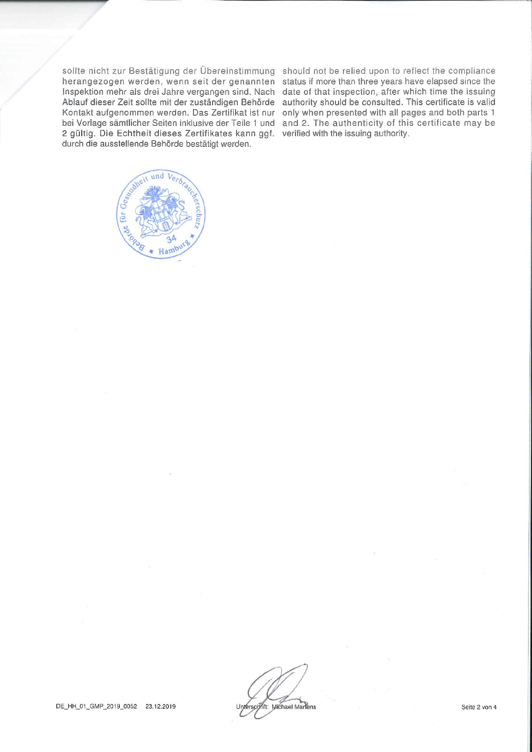sollte nicht zur Bestätigung der Übereinstimmung should not be relied upon to reflect the compliance herangezogen werden, wenn seit der genannten  $\,$ status if more than three years have elapsed since th $\,$ Inspektion mehr als drei Jahre vergangen sind. Nach date of that inspection, after which time the issuing Ablauf dieser Zeit sollte mit der zuständigen Behörde authority should be consulted. This certificate is valic Kontakt aufgenommen werden. Das Zertifikat ist nur only when presented with all pages and both parts bei Vorlage sämtlicher Seiten inklusive der Teile 1 und and 2. The authenticity of this certificate may be 2 gültig. Die Echtheit dieses Zertifikates kann ggf. verified with the issuing authority durch die ausstellende Behörde bestätigt werden.



Unterschrift: Michael Martens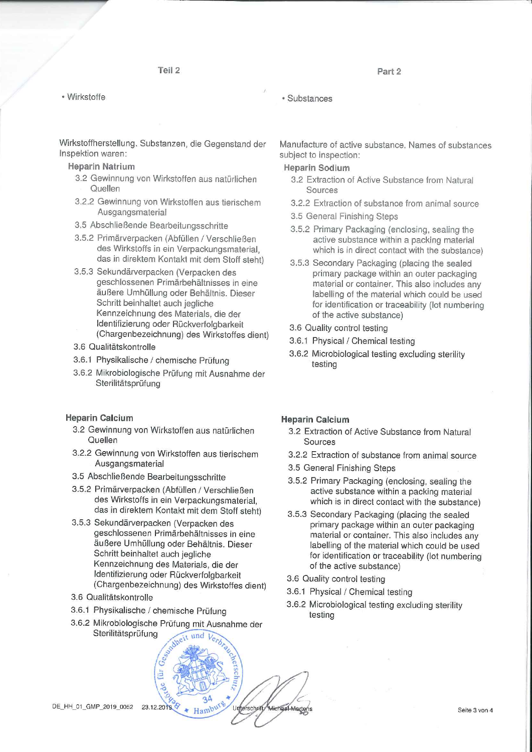Part 2

Wirkstoffe

Wirkstoffherstellung. Substanzen, die Gegenstand derInspektion waren:

Heparin Natrium

- 3.2 Gewinnung von Wirkstoffen aus natürlichen**Quellen**
- 3.2.2 Gewinnung von Wirkstoffen aus tierischemAusgangsmaterial
- 3.5 Abschließende Bearbeitungsschritte
- 3.5.2 Primärverpacken (Abfüllen/Verschließen des Wirkstoffs in ein Verpackungsmaterial,das in direktem Kontakt mit dem Stoff steht)
- 3.5.3 Sekundärverpacken (Verpacken des geschlossenen Primärbehältnisses in eine äußere Umhüllung oder Behältnis. DieserSchritt beinhaltet auch jegliche Kennzeichnung des Materials, die derdentifizierung oder Ruckverfolgbarkeit (Chargenbezeichnung) des Wirkstoffes dient)
- 3.6 Qualitätskontrolle
- 3.6.1 Physikalische/chemische Prüfung
- 3.6,2 Mikrobiologische Prüfung mit Ausnahme derSterilitätsprüfung

#### Heparin Calcium

- 3.2 Gewinnung von Wirkstoffen aus natürlichen**Quellen**
- 3.2.2 Gewinnung von Wirkstoffen aus tierischemAusgangsmaterial
- 3.5 Abschließende Bearbeitungsschritte
- 3.5.2 Primärverpacken (Abfüllen/Verschließenies wirkstoffs in ein Verpackungsmaterial, das in direktem Kontakt mit dem Stoff steht)
- 3.5.3 Sekundärverpacken (Verpacken des geschlossenen Primärbehältnisses in eine äußere Umhüllung oder Behältnis. DieserSchritt beinhaltet auch jeglichekennzeichnung des Materials, die der Identifizierung oder Rückverfolgbarkeit(Chargenbezeichnung) des Wirkstoffes dient)
- 3.6 Qualitätskontrolle
- 3.6.1 Physikalische / chemische Prüfung
- 3.6.2 Mikrobiologische Prüfung mit Ausnahme derSterilitätsprüfung $\epsilon$ , i.e.  $\epsilon$

 $\sim$   $\sim$ 

Michael-Martens

1:00  $-2$  $30.711.5723$   $21$ 

 $\frac{34}{\text{ambin}}$ 

# substances and the substances of  $\sim$

Manufacture of active substance. Names of substancessubject to inspection:

## Heparin Sodium

- 3.2 Extraction of Active Substance from Natural Sources
- 3.2.2 Extraction of substance from animal source
- 3.5 General Finishing Steps
- 3.5.2 Primary Packaging (enclosing, sealing the active substance within a packing materia!which is in direct contact with the substance)
- 3.5.3 Secondary Packaging (placing the sealed primary package within an outer packaging material or Container. This also includes anyabelling of the material which could be used or identification or traceability (lot numbering of the active substance)
- 3.6 Quality control testing
- 3.6.1 Physical / Chemical testing
- 3.6.2 Microbiological testing excluding sterilitytesting

#### Heparin Calcium

- 3.2 Extraction of Active Substance from NaturalSources
- 3.2.2 Extraction of substance from animal source
- 3.5 General Finishing Steps
- 3.5.2 Primary Packaging (enclosing, sealing the active substance within a packing materialwhich is in direct contact with the substance)
- 3.5.3 Secondary Packaging (placing the sealed primary package within an outer packaging material or Container. This also includes any labelling of the material which could be usedor identification or traceability (lot numbering of the active substance)
- 3.6 Quality control testing
- 3.6.1 Physical / Chemical testing
- 3.6.2 Microbiological testing excluding sterilitytesting